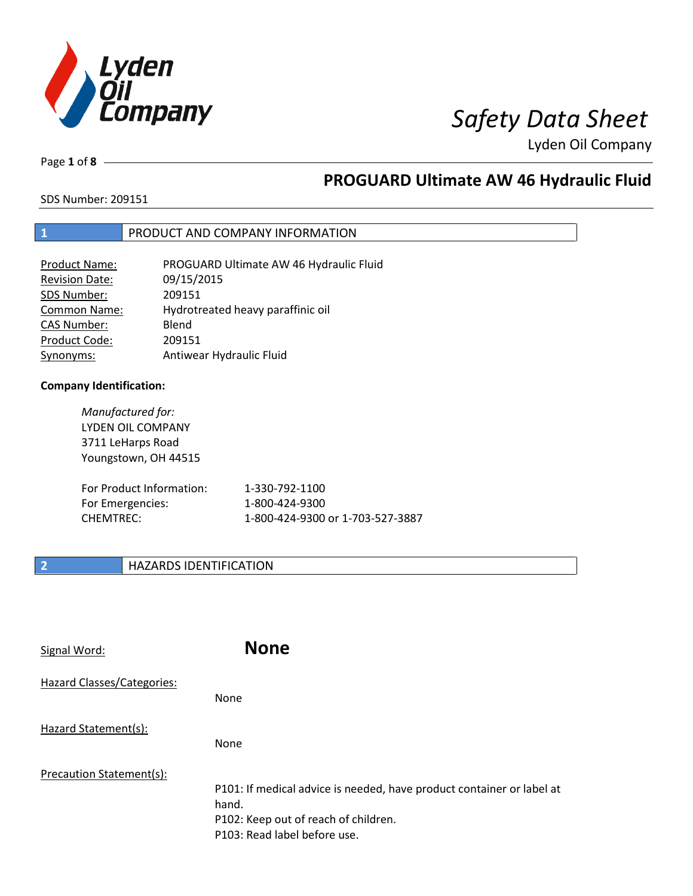

Page **1** of **8**

# **PROGUARD Ultimate AW 46 Hydraulic Fluid**

SDS Number: 209151

### **1** PRODUCT AND COMPANY INFORMATION

| <b>Product Name:</b>  | PROGUARD Ultimate AW 46 Hydraulic Fluid |
|-----------------------|-----------------------------------------|
| <b>Revision Date:</b> | 09/15/2015                              |
| SDS Number:           | 209151                                  |
| <b>Common Name:</b>   | Hydrotreated heavy paraffinic oil       |
| <b>CAS Number:</b>    | Blend                                   |
| Product Code:         | 209151                                  |
| Synonyms:             | Antiwear Hydraulic Fluid                |

### **Company Identification:**

*Manufactured for:* LYDEN OIL COMPANY 3711 LeHarps Road Youngstown, OH 44515

| For Product Information: | 1-330-792-1100                   |
|--------------------------|----------------------------------|
| For Emergencies:         | 1-800-424-9300                   |
| CHEMTREC:                | 1-800-424-9300 or 1-703-527-3887 |

### **2 HAZARDS IDENTIFICATION**

| Signal Word:               | <b>None</b>                                                                                                                                            |
|----------------------------|--------------------------------------------------------------------------------------------------------------------------------------------------------|
| Hazard Classes/Categories: | <b>None</b>                                                                                                                                            |
| Hazard Statement(s):       | <b>None</b>                                                                                                                                            |
| Precaution Statement(s):   | P101: If medical advice is needed, have product container or label at<br>hand.<br>P102: Keep out of reach of children.<br>P103: Read label before use. |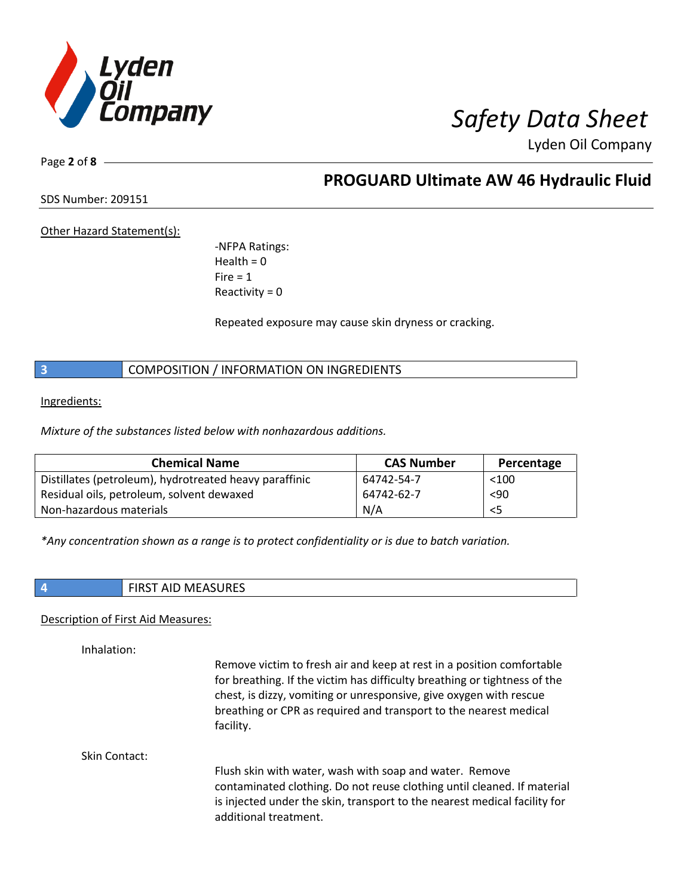

Page **2** of **8**

**PROGUARD Ultimate AW 46 Hydraulic Fluid**

SDS Number: 209151

Other Hazard Statement(s):

-NFPA Ratings:  $Health = 0$  $Fire = 1$ Reactivity  $= 0$ 

Repeated exposure may cause skin dryness or cracking.

**3** COMPOSITION / INFORMATION ON INGREDIENTS

Ingredients:

*Mixture of the substances listed below with nonhazardous additions.*

| <b>Chemical Name</b>                                   | <b>CAS Number</b> | Percentage |
|--------------------------------------------------------|-------------------|------------|
| Distillates (petroleum), hydrotreated heavy paraffinic | 64742-54-7        | $<$ 100    |
| Residual oils, petroleum, solvent dewaxed              | 64742-62-7        | $90$       |
| Non-hazardous materials                                | N/A               | <5         |

*\*Any concentration shown as a range is to protect confidentiality or is due to batch variation.*

**4** FIRST AID MEASURES

### Description of First Aid Measures:

Inhalation:

Remove victim to fresh air and keep at rest in a position comfortable for breathing. If the victim has difficulty breathing or tightness of the chest, is dizzy, vomiting or unresponsive, give oxygen with rescue breathing or CPR as required and transport to the nearest medical facility.

Skin Contact:

Flush skin with water, wash with soap and water. Remove contaminated clothing. Do not reuse clothing until cleaned. If material is injected under the skin, transport to the nearest medical facility for additional treatment.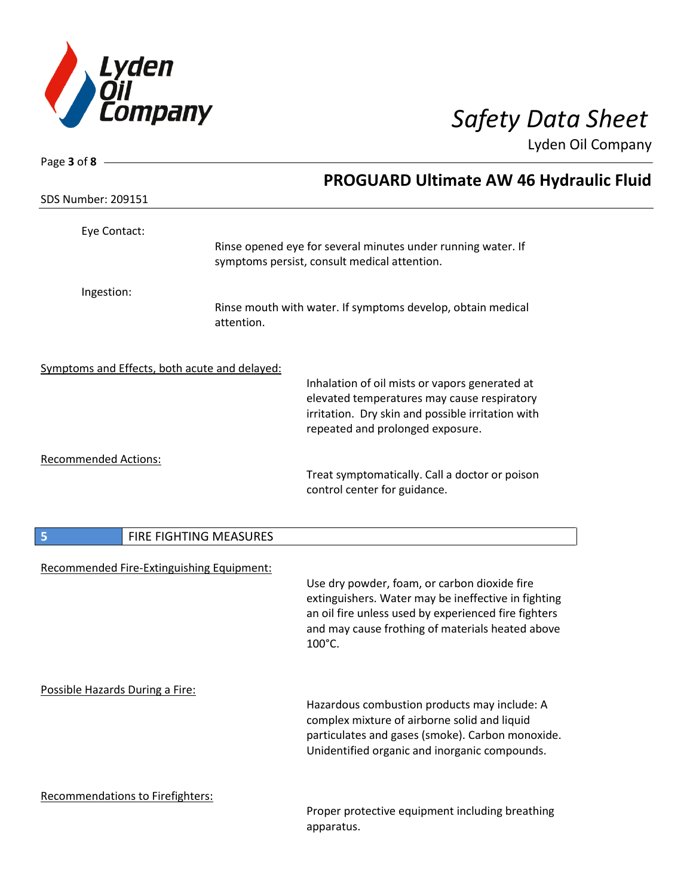

| Page 3 of 8 $-$                               |                        |                                                                                                     |  |
|-----------------------------------------------|------------------------|-----------------------------------------------------------------------------------------------------|--|
|                                               |                        | PROGUARD Ultimate AW 46 Hydraulic Fluid                                                             |  |
| <b>SDS Number: 209151</b>                     |                        |                                                                                                     |  |
| Eye Contact:                                  |                        |                                                                                                     |  |
|                                               |                        | Rinse opened eye for several minutes under running water. If                                        |  |
|                                               |                        | symptoms persist, consult medical attention.                                                        |  |
| Ingestion:                                    |                        |                                                                                                     |  |
|                                               | attention.             | Rinse mouth with water. If symptoms develop, obtain medical                                         |  |
|                                               |                        |                                                                                                     |  |
| Symptoms and Effects, both acute and delayed: |                        |                                                                                                     |  |
|                                               |                        | Inhalation of oil mists or vapors generated at                                                      |  |
|                                               |                        | elevated temperatures may cause respiratory<br>irritation. Dry skin and possible irritation with    |  |
|                                               |                        | repeated and prolonged exposure.                                                                    |  |
| <b>Recommended Actions:</b>                   |                        |                                                                                                     |  |
|                                               |                        | Treat symptomatically. Call a doctor or poison                                                      |  |
|                                               |                        | control center for guidance.                                                                        |  |
| 5                                             | FIRE FIGHTING MEASURES |                                                                                                     |  |
|                                               |                        |                                                                                                     |  |
| Recommended Fire-Extinguishing Equipment:     |                        |                                                                                                     |  |
|                                               |                        | Use dry powder, foam, or carbon dioxide fire<br>extinguishers. Water may be ineffective in fighting |  |
|                                               |                        | an oil fire unless used by experienced fire fighters                                                |  |
|                                               |                        | and may cause frothing of materials heated above<br>100°C.                                          |  |
|                                               |                        |                                                                                                     |  |
| Possible Hazards During a Fire:               |                        |                                                                                                     |  |
|                                               |                        | Hazardous combustion products may include: A                                                        |  |
|                                               |                        | complex mixture of airborne solid and liquid<br>particulates and gases (smoke). Carbon monoxide.    |  |
|                                               |                        | Unidentified organic and inorganic compounds.                                                       |  |
|                                               |                        |                                                                                                     |  |
| Recommendations to Firefighters:              |                        |                                                                                                     |  |

Proper protective equipment including breathing apparatus.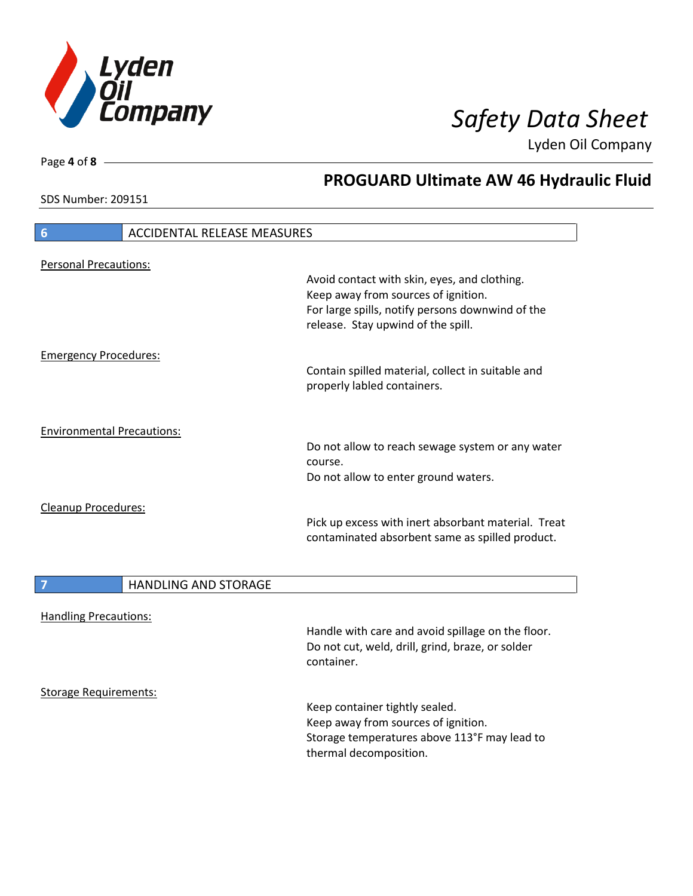

SDS Number: 209151

Page **4** of **8**

# **PROGUARD Ultimate AW 46 Hydraulic Fluid**

| 6<br><b>ACCIDENTAL RELEASE MEASURES</b>    |                                                                                                                                                                               |
|--------------------------------------------|-------------------------------------------------------------------------------------------------------------------------------------------------------------------------------|
|                                            |                                                                                                                                                                               |
| <b>Personal Precautions:</b>               | Avoid contact with skin, eyes, and clothing.<br>Keep away from sources of ignition.<br>For large spills, notify persons downwind of the<br>release. Stay upwind of the spill. |
| <b>Emergency Procedures:</b>               |                                                                                                                                                                               |
|                                            | Contain spilled material, collect in suitable and<br>properly labled containers.                                                                                              |
| <b>Environmental Precautions:</b>          |                                                                                                                                                                               |
|                                            | Do not allow to reach sewage system or any water<br>course.                                                                                                                   |
|                                            | Do not allow to enter ground waters.                                                                                                                                          |
| Cleanup Procedures:                        | Pick up excess with inert absorbant material. Treat<br>contaminated absorbent same as spilled product.                                                                        |
| $\boxed{7}$<br><b>HANDLING AND STORAGE</b> |                                                                                                                                                                               |
| <b>Handling Precautions:</b>               |                                                                                                                                                                               |
|                                            | Handle with care and avoid spillage on the floor.<br>Do not cut, weld, drill, grind, braze, or solder<br>container.                                                           |
| <b>Storage Requirements:</b>               |                                                                                                                                                                               |
|                                            | Keep container tightly sealed.<br>Keep away from sources of ignition.                                                                                                         |
|                                            | Storage temperatures above 113°F may lead to                                                                                                                                  |

thermal decomposition.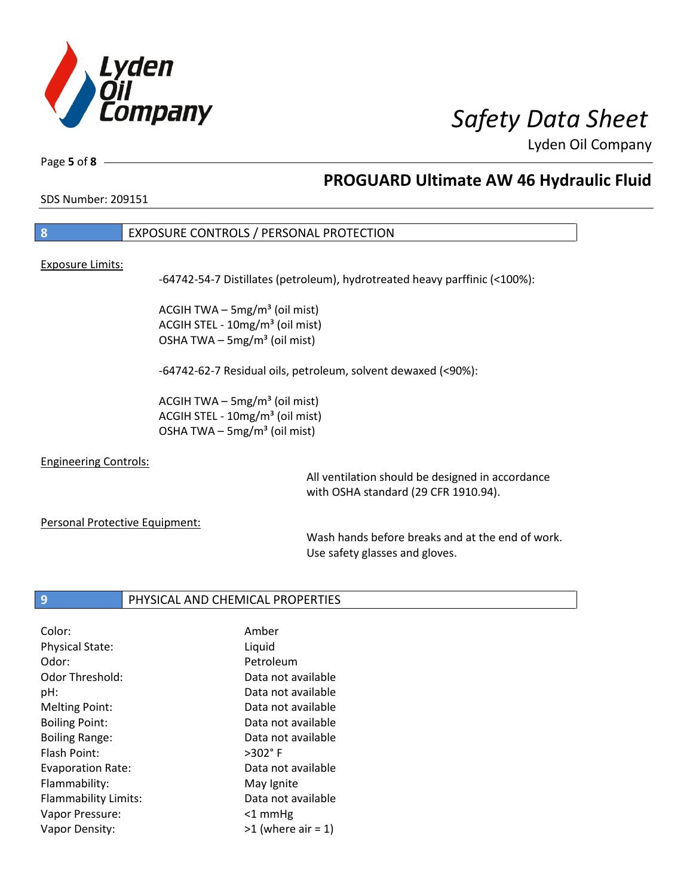

Page **5** of **8**

# **PROGUARD Ultimate AW 46 Hydraulic Fluid**

SDS Number: 209151

### **8** EXPOSURE CONTROLS / PERSONAL PROTECTION

#### Exposure Limits:

-64742-54-7 Distillates (petroleum), hydrotreated heavy parffinic (<100%):

ACGIH TWA  $-$  5mg/m<sup>3</sup> (oil mist) ACGIH STEL - 10mg/m<sup>3</sup> (oil mist) OSHA TWA  $-$  5mg/m<sup>3</sup> (oil mist)

-64742-62-7 Residual oils, petroleum, solvent dewaxed (<90%):

ACGIH TWA  $-$  5mg/m<sup>3</sup> (oil mist) ACGIH STEL - 10mg/m<sup>3</sup> (oil mist) OSHA TWA – 5mg/m $3$  (oil mist)

### Engineering Controls:

All ventilation should be designed in accordance with OSHA standard (29 CFR 1910.94).

#### Personal Protective Equipment:

Wash hands before breaks and at the end of work. Use safety glasses and gloves.

### **9** PHYSICAL AND CHEMICAL PROPERTIES

| Amber                |
|----------------------|
| Liquid               |
| Petroleum            |
| Data not available   |
| Data not available   |
| Data not available   |
| Data not available   |
| Data not available   |
| $>302^\circ$ F       |
| Data not available   |
| May Ignite           |
| Data not available   |
| $<$ 1 mmHg           |
| $>1$ (where air = 1) |
|                      |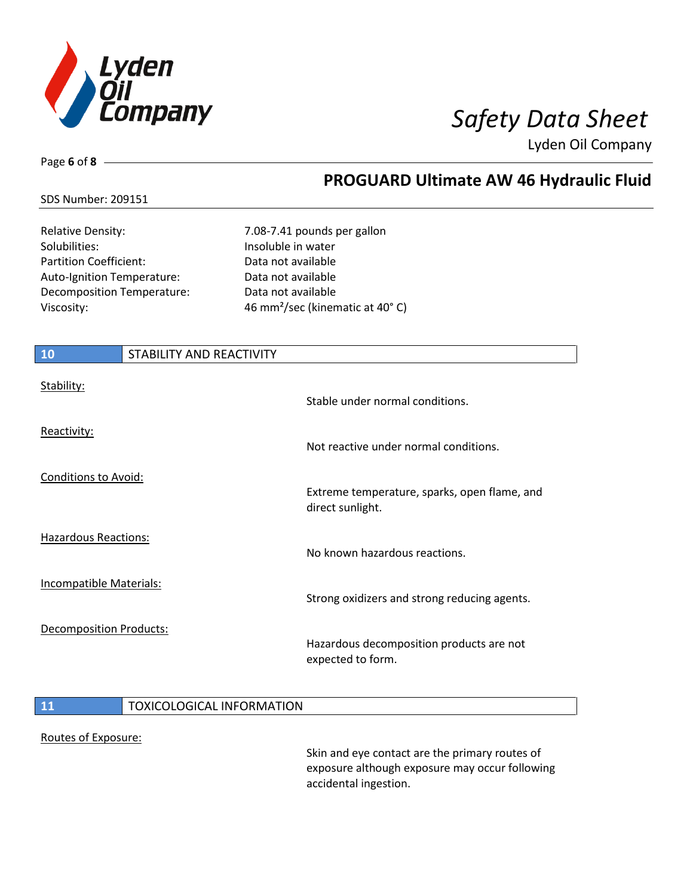

Page **6** of **8**

# **PROGUARD Ultimate AW 46 Hydraulic Fluid**

### SDS Number: 209151

Solubilities: Insoluble in water Partition Coefficient: Data not available Auto-Ignition Temperature: Data not available Decomposition Temperature: Data not available

Relative Density: 7.08-7.41 pounds per gallon Viscosity: 46 mm²/sec (kinematic at 40° C)

| 10                             | STABILITY AND REACTIVITY |                                                                  |
|--------------------------------|--------------------------|------------------------------------------------------------------|
| Stability:                     |                          | Stable under normal conditions.                                  |
| Reactivity:                    |                          | Not reactive under normal conditions.                            |
| <b>Conditions to Avoid:</b>    |                          | Extreme temperature, sparks, open flame, and<br>direct sunlight. |
| <b>Hazardous Reactions:</b>    |                          | No known hazardous reactions.                                    |
| <b>Incompatible Materials:</b> |                          | Strong oxidizers and strong reducing agents.                     |
| Decomposition Products:        |                          | Hazardous decomposition products are not<br>expected to form.    |

### **11** TOXICOLOGICAL INFORMATION

#### Routes of Exposure:

Skin and eye contact are the primary routes of exposure although exposure may occur following accidental ingestion.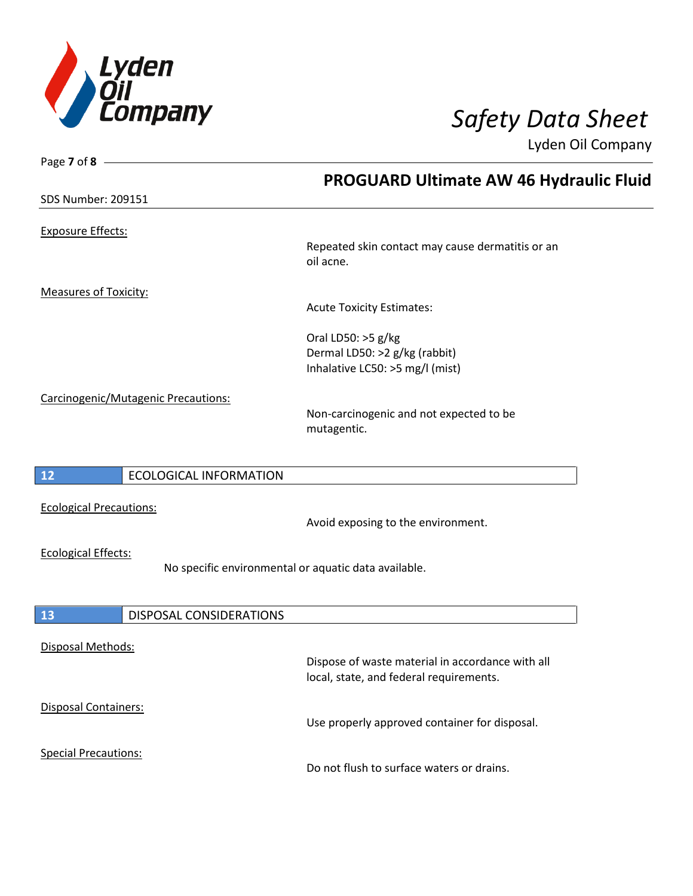

Page **7** of **8**

Lyden Oil Company

|                                                                                    | <b>PROGUARD Ultimate AW 46 Hydraulic Fluid</b>                                              |
|------------------------------------------------------------------------------------|---------------------------------------------------------------------------------------------|
| <b>SDS Number: 209151</b>                                                          |                                                                                             |
| <b>Exposure Effects:</b>                                                           |                                                                                             |
|                                                                                    | Repeated skin contact may cause dermatitis or an<br>oil acne.                               |
| <b>Measures of Toxicity:</b>                                                       |                                                                                             |
|                                                                                    | <b>Acute Toxicity Estimates:</b>                                                            |
|                                                                                    | Oral LD50: >5 g/kg<br>Dermal LD50: >2 g/kg (rabbit)<br>Inhalative LC50: >5 mg/l (mist)      |
| Carcinogenic/Mutagenic Precautions:                                                | Non-carcinogenic and not expected to be<br>mutagentic.                                      |
| 12<br><b>ECOLOGICAL INFORMATION</b>                                                |                                                                                             |
| <b>Ecological Precautions:</b>                                                     | Avoid exposing to the environment.                                                          |
| <b>Ecological Effects:</b><br>No specific environmental or aquatic data available. |                                                                                             |
| 13<br>DISPOSAL CONSIDERATIONS                                                      |                                                                                             |
| Disposal Methods:                                                                  | Dispose of waste material in accordance with all<br>local, state, and federal requirements. |
| Disposal Containers:                                                               | Use properly approved container for disposal.                                               |
| <b>Special Precautions:</b>                                                        | Do not flush to surface waters or drains.                                                   |